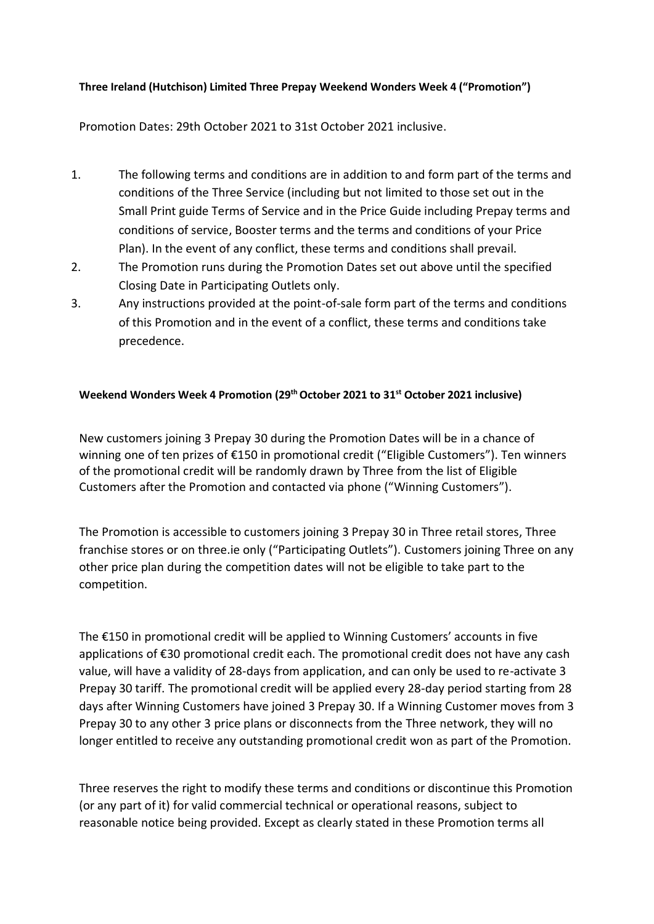## **Three Ireland (Hutchison) Limited Three Prepay Weekend Wonders Week 4 ("Promotion")**

Promotion Dates: 29th October 2021 to 31st October 2021 inclusive.

- 1. The following terms and conditions are in addition to and form part of the terms and conditions of the Three Service (including but not limited to those set out in the Small Print guide Terms of Service and in the Price Guide including Prepay terms and conditions of service, Booster terms and the terms and conditions of your Price Plan). In the event of any conflict, these terms and conditions shall prevail.
- 2. The Promotion runs during the Promotion Dates set out above until the specified Closing Date in Participating Outlets only.
- 3. Any instructions provided at the point-of-sale form part of the terms and conditions of this Promotion and in the event of a conflict, these terms and conditions take precedence.

## **Weekend Wonders Week 4 Promotion (29thOctober 2021 to 31st October 2021 inclusive)**

New customers joining 3 Prepay 30 during the Promotion Dates will be in a chance of winning one of ten prizes of €150 in promotional credit ("Eligible Customers"). Ten winners of the promotional credit will be randomly drawn by Three from the list of Eligible Customers after the Promotion and contacted via phone ("Winning Customers").

The Promotion is accessible to customers joining 3 Prepay 30 in Three retail stores, Three franchise stores or on three.ie only ("Participating Outlets"). Customers joining Three on any other price plan during the competition dates will not be eligible to take part to the competition.

The €150 in promotional credit will be applied to Winning Customers' accounts in five applications of €30 promotional credit each. The promotional credit does not have any cash value, will have a validity of 28-days from application, and can only be used to re-activate 3 Prepay 30 tariff. The promotional credit will be applied every 28-day period starting from 28 days after Winning Customers have joined 3 Prepay 30. If a Winning Customer moves from 3 Prepay 30 to any other 3 price plans or disconnects from the Three network, they will no longer entitled to receive any outstanding promotional credit won as part of the Promotion.

Three reserves the right to modify these terms and conditions or discontinue this Promotion (or any part of it) for valid commercial technical or operational reasons, subject to reasonable notice being provided. Except as clearly stated in these Promotion terms all